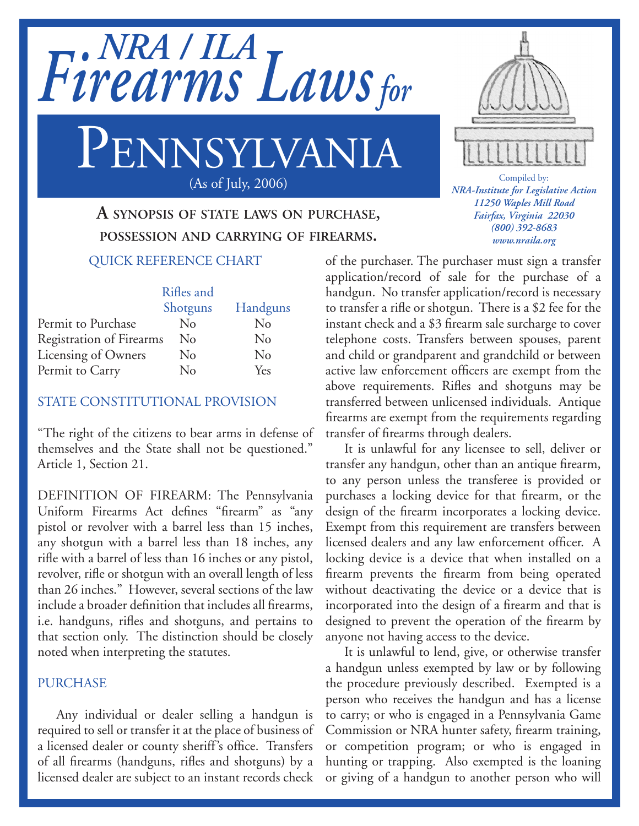

# PENNSYLVANIA (As of July, 2006)

# **A synopsis of state laws on purchase, possession and carrying of firearms.**

## QUICK REFERENCE CHART

|                                 | Rifles and |          |
|---------------------------------|------------|----------|
|                                 | Shotguns   | Handguns |
| Permit to Purchase              | No         | No       |
| <b>Registration of Firearms</b> | No         | $\rm No$ |
| Licensing of Owners             | No         | $\rm No$ |
| Permit to Carry                 | No         | Yes      |

## STATE CONSTITUTIONAL PROVISION

"The right of the citizens to bear arms in defense of themselves and the State shall not be questioned." Article 1, Section 21.

DEFINITION OF FIREARM: The Pennsylvania Uniform Firearms Act defines "firearm" as "any pistol or revolver with a barrel less than 15 inches, any shotgun with a barrel less than 18 inches, any rifle with a barrel of less than 16 inches or any pistol, revolver, rifle or shotgun with an overall length of less than 26 inches." However, several sections of the law include a broader definition that includes all firearms, i.e. handguns, rifles and shotguns, and pertains to that section only. The distinction should be closely noted when interpreting the statutes.

#### **PURCHASE**

Any individual or dealer selling a handgun is required to sell or transfer it at the place of business of a licensed dealer or county sheriff's office. Transfers of all firearms (handguns, rifles and shotguns) by a licensed dealer are subject to an instant records check

of the purchaser. The purchaser must sign a transfer application/record of sale for the purchase of a handgun. No transfer application/record is necessary to transfer a rifle or shotgun. There is a \$2 fee for the instant check and a \$3 firearm sale surcharge to cover telephone costs. Transfers between spouses, parent and child or grandparent and grandchild or between active law enforcement officers are exempt from the above requirements. Rifles and shotguns may be transferred between unlicensed individuals. Antique firearms are exempt from the requirements regarding transfer of firearms through dealers.

It is unlawful for any licensee to sell, deliver or transfer any handgun, other than an antique firearm, to any person unless the transferee is provided or purchases a locking device for that firearm, or the design of the firearm incorporates a locking device. Exempt from this requirement are transfers between licensed dealers and any law enforcement officer. A locking device is a device that when installed on a firearm prevents the firearm from being operated without deactivating the device or a device that is incorporated into the design of a firearm and that is designed to prevent the operation of the firearm by anyone not having access to the device.

It is unlawful to lend, give, or otherwise transfer a handgun unless exempted by law or by following the procedure previously described. Exempted is a person who receives the handgun and has a license to carry; or who is engaged in a Pennsylvania Game Commission or NRA hunter safety, firearm training, or competition program; or who is engaged in hunting or trapping. Also exempted is the loaning or giving of a handgun to another person who will



Compiled by: *NRA-Institute for Legislative Action 11250 Waples Mill Road Fairfax, Virginia 22030 (800) 392-8683 www.nraila.org*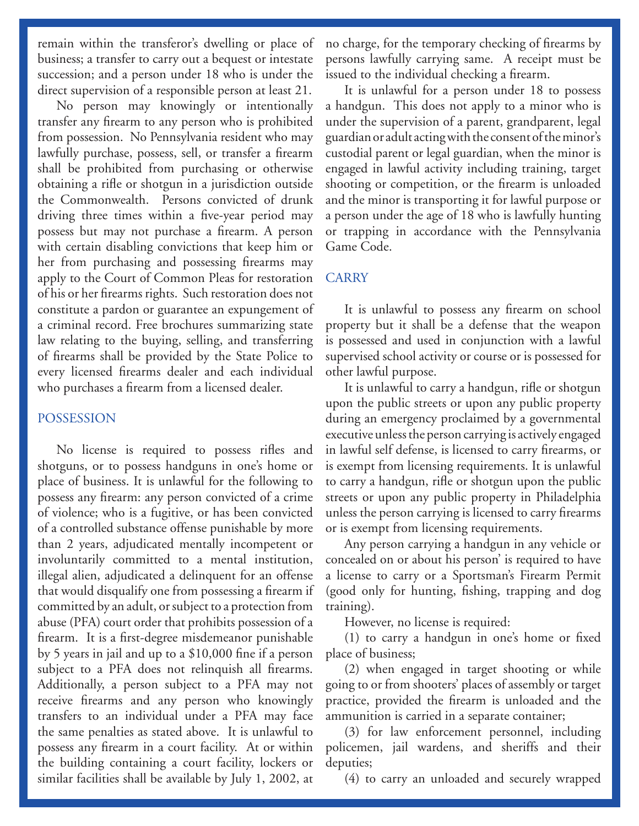remain within the transferor's dwelling or place of business; a transfer to carry out a bequest or intestate succession; and a person under 18 who is under the direct supervision of a responsible person at least 21.

No person may knowingly or intentionally transfer any firearm to any person who is prohibited from possession. No Pennsylvania resident who may lawfully purchase, possess, sell, or transfer a firearm shall be prohibited from purchasing or otherwise obtaining a rifle or shotgun in a jurisdiction outside the Commonwealth. Persons convicted of drunk driving three times within a five-year period may possess but may not purchase a firearm. A person with certain disabling convictions that keep him or her from purchasing and possessing firearms may apply to the Court of Common Pleas for restoration of his or her firearms rights. Such restoration does not constitute a pardon or guarantee an expungement of a criminal record. Free brochures summarizing state law relating to the buying, selling, and transferring of firearms shall be provided by the State Police to every licensed firearms dealer and each individual who purchases a firearm from a licensed dealer.

#### POSSESSION

No license is required to possess rifles and shotguns, or to possess handguns in one's home or place of business. It is unlawful for the following to possess any firearm: any person convicted of a crime of violence; who is a fugitive, or has been convicted of a controlled substance offense punishable by more than 2 years, adjudicated mentally incompetent or involuntarily committed to a mental institution, illegal alien, adjudicated a delinquent for an offense that would disqualify one from possessing a firearm if committed by an adult, or subject to a protection from abuse (PFA) court order that prohibits possession of a firearm. It is a first-degree misdemeanor punishable by 5 years in jail and up to a \$10,000 fine if a person subject to a PFA does not relinquish all firearms. Additionally, a person subject to a PFA may not receive firearms and any person who knowingly transfers to an individual under a PFA may face the same penalties as stated above. It is unlawful to possess any firearm in a court facility. At or within the building containing a court facility, lockers or similar facilities shall be available by July 1, 2002, at

no charge, for the temporary checking of firearms by persons lawfully carrying same. A receipt must be issued to the individual checking a firearm.

It is unlawful for a person under 18 to possess a handgun. This does not apply to a minor who is under the supervision of a parent, grandparent, legal guardian or adult acting with the consent of the minor's custodial parent or legal guardian, when the minor is engaged in lawful activity including training, target shooting or competition, or the firearm is unloaded and the minor is transporting it for lawful purpose or a person under the age of 18 who is lawfully hunting or trapping in accordance with the Pennsylvania Game Code.

#### CARRY

It is unlawful to possess any firearm on school property but it shall be a defense that the weapon is possessed and used in conjunction with a lawful supervised school activity or course or is possessed for other lawful purpose.

It is unlawful to carry a handgun, rifle or shotgun upon the public streets or upon any public property during an emergency proclaimed by a governmental executive unless the person carrying is actively engaged in lawful self defense, is licensed to carry firearms, or is exempt from licensing requirements. It is unlawful to carry a handgun, rifle or shotgun upon the public streets or upon any public property in Philadelphia unless the person carrying is licensed to carry firearms or is exempt from licensing requirements.

Any person carrying a handgun in any vehicle or concealed on or about his person' is required to have a license to carry or a Sportsman's Firearm Permit (good only for hunting, fishing, trapping and dog training).

However, no license is required:

(1) to carry a handgun in one's home or fixed place of business;

(2) when engaged in target shooting or while going to or from shooters' places of assembly or target practice, provided the firearm is unloaded and the ammunition is carried in a separate container;

(3) for law enforcement personnel, including policemen, jail wardens, and sheriffs and their deputies;

(4) to carry an unloaded and securely wrapped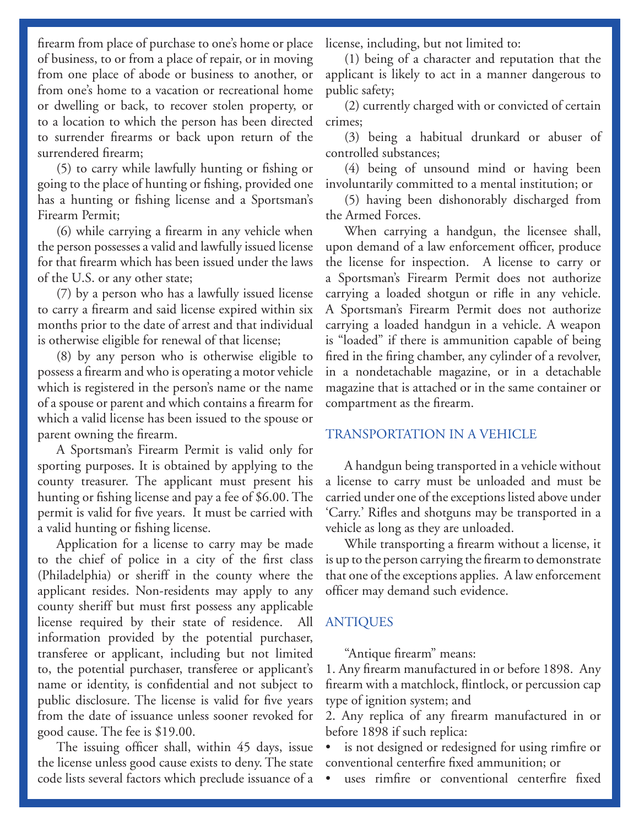firearm from place of purchase to one's home or place of business, to or from a place of repair, or in moving from one place of abode or business to another, or from one's home to a vacation or recreational home or dwelling or back, to recover stolen property, or to a location to which the person has been directed to surrender firearms or back upon return of the surrendered firearm;

(5) to carry while lawfully hunting or fishing or going to the place of hunting or fishing, provided one has a hunting or fishing license and a Sportsman's Firearm Permit;

(6) while carrying a firearm in any vehicle when the person possesses a valid and lawfully issued license for that firearm which has been issued under the laws of the U.S. or any other state;

(7) by a person who has a lawfully issued license to carry a firearm and said license expired within six months prior to the date of arrest and that individual is otherwise eligible for renewal of that license;

(8) by any person who is otherwise eligible to possess a firearm and who is operating a motor vehicle which is registered in the person's name or the name of a spouse or parent and which contains a firearm for which a valid license has been issued to the spouse or parent owning the firearm.

A Sportsman's Firearm Permit is valid only for sporting purposes. It is obtained by applying to the county treasurer. The applicant must present his hunting or fishing license and pay a fee of \$6.00. The permit is valid for five years. It must be carried with a valid hunting or fishing license.

Application for a license to carry may be made to the chief of police in a city of the first class (Philadelphia) or sheriff in the county where the applicant resides. Non-residents may apply to any county sheriff but must first possess any applicable license required by their state of residence. All information provided by the potential purchaser, transferee or applicant, including but not limited to, the potential purchaser, transferee or applicant's name or identity, is confidential and not subject to public disclosure. The license is valid for five years from the date of issuance unless sooner revoked for good cause. The fee is \$19.00.

The issuing officer shall, within 45 days, issue the license unless good cause exists to deny. The state code lists several factors which preclude issuance of a

license, including, but not limited to:

(1) being of a character and reputation that the applicant is likely to act in a manner dangerous to public safety;

(2) currently charged with or convicted of certain crimes;

(3) being a habitual drunkard or abuser of controlled substances;

(4) being of unsound mind or having been involuntarily committed to a mental institution; or

(5) having been dishonorably discharged from the Armed Forces.

When carrying a handgun, the licensee shall, upon demand of a law enforcement officer, produce the license for inspection. A license to carry or a Sportsman's Firearm Permit does not authorize carrying a loaded shotgun or rifle in any vehicle. A Sportsman's Firearm Permit does not authorize carrying a loaded handgun in a vehicle. A weapon is "loaded" if there is ammunition capable of being fired in the firing chamber, any cylinder of a revolver, in a nondetachable magazine, or in a detachable magazine that is attached or in the same container or compartment as the firearm.

# TRANSPORTATION IN A VEHICLE

A handgun being transported in a vehicle without a license to carry must be unloaded and must be carried under one of the exceptions listed above under 'Carry.' Rifles and shotguns may be transported in a vehicle as long as they are unloaded.

While transporting a firearm without a license, it is up to the person carrying the firearm to demonstrate that one of the exceptions applies. A law enforcement officer may demand such evidence.

# ANTIQUES

"Antique firearm" means:

1. Any firearm manufactured in or before 1898. Any firearm with a matchlock, flintlock, or percussion cap type of ignition system; and

2. Any replica of any firearm manufactured in or before 1898 if such replica:

is not designed or redesigned for using rimfire or conventional centerfire fixed ammunition; or

• uses rimfire or conventional centerfire fixed